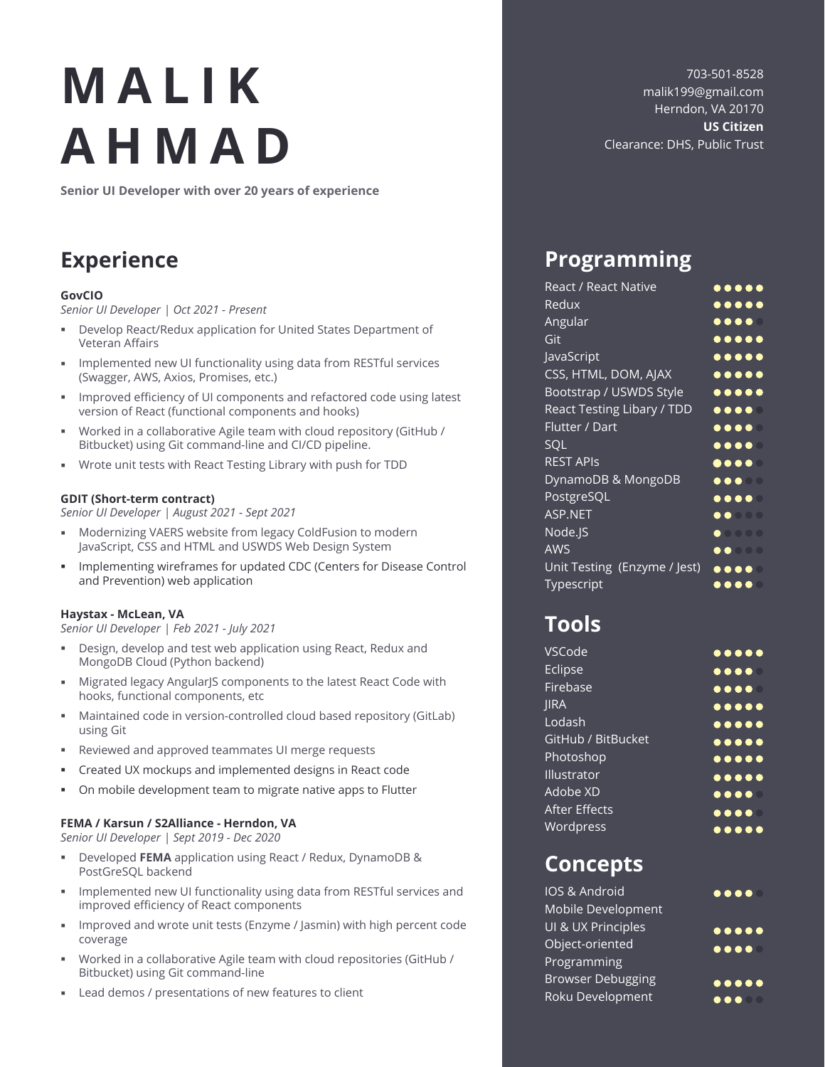# **MALIK AHMAD**

**Senior UI Developer with over 20 years of experience**

## **Experience**

### **GovCIO**

*Senior UI Developer | Oct 2021 - Present*

- Develop React/Redux application for United States Department of Veteran Affairs
- Implemented new UI functionality using data from RESTful services (Swagger, AWS, Axios, Promises, etc.)
- **IMPROVED EFFERIGE IS NOTE 2018** Improved efficiency of UI components and refactored code using latest version of React (functional components and hooks)
- Worked in a collaborative Agile team with cloud repository (GitHub / Bitbucket) using Git command-line and CI/CD pipeline.
- Wrote unit tests with React Testing Library with push for TDD

### **GDIT (Short-term contract)**

*Senior UI Developer | August 2021 - Sept 2021*

- Modernizing VAERS website from legacy ColdFusion to modern JavaScript, CSS and HTML and USWDS Web Design System
- **Implementing wireframes for updated CDC (Centers for Disease Control** and Prevention) web application

### **Haystax - McLean, VA**

*Senior UI Developer | Feb 2021 - July 2021*

- Design, develop and test web application using React, Redux and MongoDB Cloud (Python backend)
- Migrated legacy AngularJS components to the latest React Code with hooks, functional components, etc
- Maintained code in version-controlled cloud based repository (GitLab) using Git
- Reviewed and approved teammates UI merge requests
- Created UX mockups and implemented designs in React code
- On mobile development team to migrate native apps to Flutter

### **FEMA / Karsun / S2Alliance - Herndon, VA**

*Senior UI Developer | Sept 2019 - Dec 2020*

- Developed **FEMA** application using React / Redux, DynamoDB & PostGreSQL backend
- **Implemented new UI functionality using data from RESTful services and** improved efficiency of React components
- **IMPROVED and wrote unit tests (Enzyme / Jasmin) with high percent code** coverage
- Worked in a collaborative Agile team with cloud repositories (GitHub / Bitbucket) using Git command-line
- Lead demos / presentations of new features to client

703-501-8528 malik199@gmail.com Herndon, VA 20170 **US Citizen** Clearance: DHS, Public Trust

## **Programming**

| React / React Native         | $\bullet\bullet\bullet\bullet\bullet$                                                                 |
|------------------------------|-------------------------------------------------------------------------------------------------------|
| Redux                        | $\bullet\bullet\bullet\bullet\bullet$                                                                 |
| Angular                      |                                                                                                       |
| Git                          | $\bullet\bullet\bullet\bullet\bullet$                                                                 |
| <b>JavaScript</b>            | $\bullet\bullet\bullet\bullet\bullet$                                                                 |
| CSS, HTML, DOM, AJAX         | $\bullet\bullet\bullet\bullet\bullet$                                                                 |
| Bootstrap / USWDS Style      | $\begin{array}{cccccccccccccc} \bullet & \bullet & \bullet & \bullet & \bullet & \bullet \end{array}$ |
| React Testing Libary / TDD   | $\begin{array}{c} \bullet\bullet\bullet\bullet\end{array}$                                            |
| Flutter / Dart               |                                                                                                       |
| <b>SQL</b>                   |                                                                                                       |
| <b>REST APIS</b>             |                                                                                                       |
| DynamoDB & MongoDB           | $\bullet\bullet\bullet\quad$                                                                          |
| PostgreSQL                   | $\bullet\bullet\bullet\bullet$                                                                        |
| <b>ASP.NET</b>               | $\bullet\bullet\circ\circ\circ$                                                                       |
| Node.JS                      | $\bullet$ 0000                                                                                        |
| <b>AWS</b>                   | $\bullet\bullet\circ\circ\circ$                                                                       |
| Unit Testing (Enzyme / Jest) | $\bullet\bullet\bullet\bullet$                                                                        |
| Typescript                   |                                                                                                       |

## **Tools**

| VSCode               | $\bullet\bullet\bullet\bullet\bullet$                                                                           |
|----------------------|-----------------------------------------------------------------------------------------------------------------|
| Eclipse              | $\begin{array}{c} \bullet\bullet\bullet\bullet\circ \end{array}$                                                |
| Firebase             | $\bullet\bullet\bullet\bullet\textcolor{red}{\bullet}$                                                          |
| <b>IIRA</b>          | $\bullet\bullet\bullet\bullet\bullet$                                                                           |
| Lodash               | $\bullet\bullet\bullet\bullet\bullet$                                                                           |
| GitHub / BitBucket   | $\begin{array}{cccccccccccccc} \bullet & \bullet & \bullet & \bullet & \bullet & \bullet & \bullet \end{array}$ |
| Photoshop            | $\bullet\bullet\bullet\bullet\bullet$                                                                           |
| Illustrator          | $\begin{array}{c} \bullet\bullet\bullet\bullet\bullet \end{array}$                                              |
| Adobe XD             | $\begin{array}{cccccccccccccc} \bullet & \bullet & \bullet & \bullet & \bullet & \bullet & \bullet \end{array}$ |
| <b>After Effects</b> | $\bullet\bullet\bullet\bullet\textcolor{red}{\bullet}$                                                          |
| Wordpress            | $\bullet\bullet\bullet\bullet\bullet$                                                                           |

### **Concepts**

| IOS & Android            | $\bullet\bullet\bullet\bullet$            |
|--------------------------|-------------------------------------------|
| Mobile Development       |                                           |
| UI & UX Principles       | $\bullet \bullet \bullet \bullet \bullet$ |
| Object-oriented          | $\bullet\bullet\bullet\bullet$            |
| Programming              |                                           |
| <b>Browser Debugging</b> | $\bullet\bullet\bullet\bullet$            |
| Roku Development         |                                           |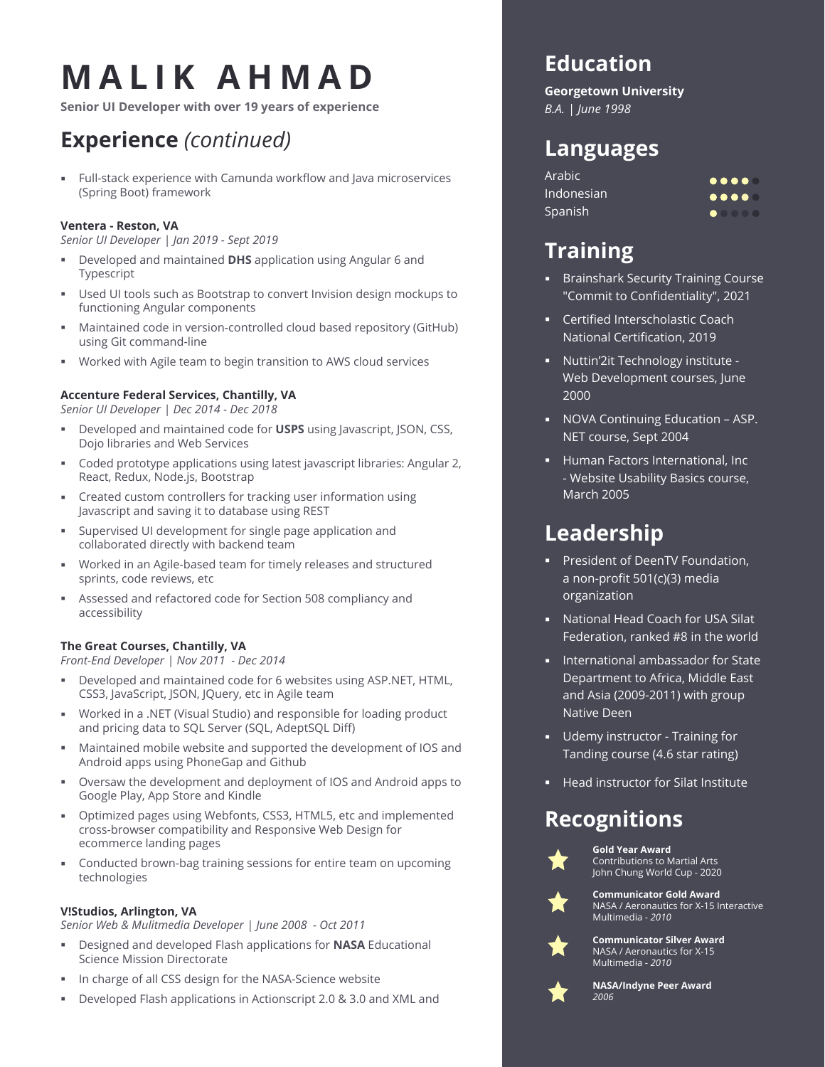## **MALIK AHMAD**

**Senior UI Developer with over 19 years of experience**

## **Experience** *(continued)*

 Full-stack experience with Camunda workflow and Java microservices (Spring Boot) framework

### **Ventera - Reston, VA**

*Senior UI Developer | Jan 2019 - Sept 2019*

- Developed and maintained **DHS** application using Angular 6 and Typescript
- Used UI tools such as Bootstrap to convert Invision design mockups to functioning Angular components
- Maintained code in version-controlled cloud based repository (GitHub) using Git command-line
- Worked with Agile team to begin transition to AWS cloud services

### **Accenture Federal Services, Chantilly, VA**

*Senior UI Developer | Dec 2014 - Dec 2018*

- Developed and maintained code for **USPS** using Javascript, JSON, CSS, Dojo libraries and Web Services
- Coded prototype applications using latest javascript libraries: Angular 2, React, Redux, Node.js, Bootstrap
- Created custom controllers for tracking user information using Javascript and saving it to database using REST
- Supervised UI development for single page application and collaborated directly with backend team
- Worked in an Agile-based team for timely releases and structured sprints, code reviews, etc
- Assessed and refactored code for Section 508 compliancy and accessibility

### **The Great Courses, Chantilly, VA**

*Front-End Developer | Nov 2011 - Dec 2014*

- Developed and maintained code for 6 websites using ASP.NET, HTML, CSS3, JavaScript, JSON, JQuery, etc in Agile team
- Worked in a .NET (Visual Studio) and responsible for loading product and pricing data to SQL Server (SQL, AdeptSQL Diff)
- Maintained mobile website and supported the development of IOS and Android apps using PhoneGap and Github
- Oversaw the development and deployment of IOS and Android apps to Google Play, App Store and Kindle
- Optimized pages using Webfonts, CSS3, HTML5, etc and implemented cross-browser compatibility and Responsive Web Design for ecommerce landing pages
- Conducted brown-bag training sessions for entire team on upcoming technologies

### **V!Studios, Arlington, VA**

*Senior Web & Mulitmedia Developer | June 2008 - Oct 2011*

- Designed and developed Flash applications for **NASA** Educational Science Mission Directorate
- In charge of all CSS design for the NASA-Science website
- Developed Flash applications in Actionscript 2.0 & 3.0 and XML and

## **Education**

**Georgetown University** *B.A. | June 1998*

## **Languages**

Arabic Indonesian Spanish

| $\bullet\bullet\bullet\bullet$ |  |
|--------------------------------|--|
| $\bullet\bullet\bullet\bullet$ |  |
|                                |  |

## **Training**

- **Brainshark Security Training Course** "Commit to Confidentiality", 2021
- **EXEC** Certified Interscholastic Coach National Certification, 2019
- Nuttin'2it Technology institute Web Development courses, June 2000
- NOVA Continuing Education ASP. NET course, Sept 2004
- **Human Factors International, Inc** - Website Usability Basics course, March 2005

## **Leadership**

- **President of DeenTV Foundation,** a non-profit 501(c)(3) media organization
- National Head Coach for USA Silat Federation, ranked #8 in the world
- **International ambassador for State** Department to Africa, Middle East and Asia (2009-2011) with group Native Deen
- **Udemy instructor Training for** Tanding course (4.6 star rating)
- **Head instructor for Silat Institute**

## **Recognitions**



**Gold Year Award** Contributions to Martial Arts John Chung World Cup - 2020



**Communicator Gold Award** NASA / Aeronautics for X-15 Interactive Multimedia - *2010*



**Communicator Silver Award** NASA / Aeronautics for X-15 Multimedia - *2010*



**NASA/Indyne Peer Award** *2006*